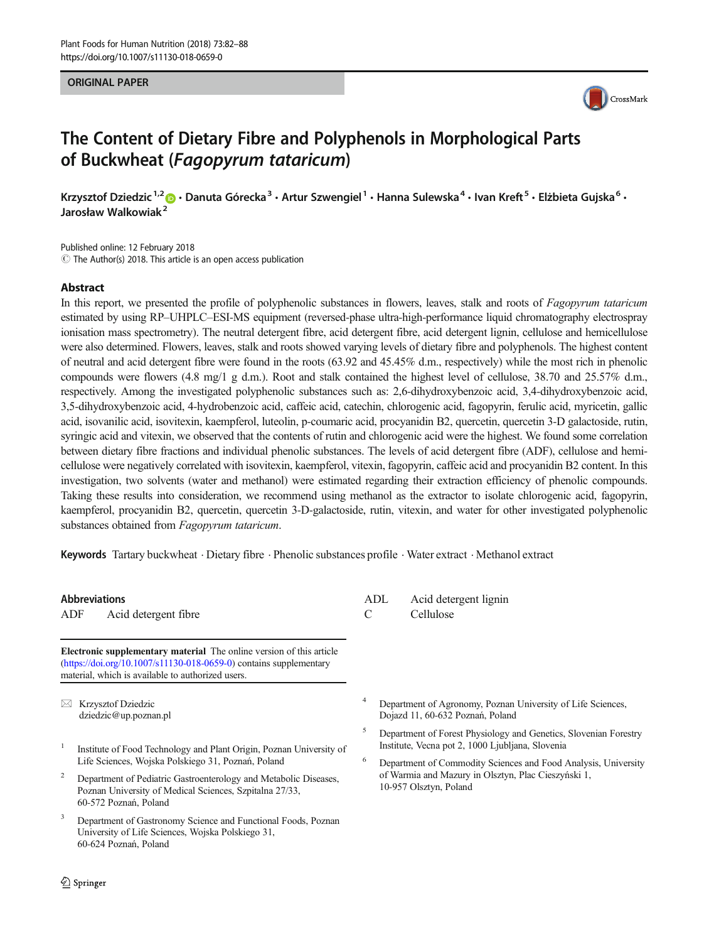#### ORIGINAL PAPER



# The Content of Dietary Fibre and Polyphenols in Morphological Parts of Buckwheat (Fagopyrum tataricum)

Krzysztof Dziedzic<sup>1,2</sup> D · Danuta Górecka<sup>3</sup> · Artur Szwengiel<sup>1</sup> · Hanna Sulewska<sup>4</sup> · Ivan Kreft<sup>5</sup> · Elżbieta Gujska<sup>6</sup> · Jarosław Walkowiak<sup>2</sup>

Published online: 12 February 2018  $\odot$  The Author(s) 2018. This article is an open access publication

#### Abstract

In this report, we presented the profile of polyphenolic substances in flowers, leaves, stalk and roots of Fagopyrum tataricum estimated by using RP–UHPLC–ESI-MS equipment (reversed-phase ultra-high-performance liquid chromatography electrospray ionisation mass spectrometry). The neutral detergent fibre, acid detergent fibre, acid detergent lignin, cellulose and hemicellulose were also determined. Flowers, leaves, stalk and roots showed varying levels of dietary fibre and polyphenols. The highest content of neutral and acid detergent fibre were found in the roots (63.92 and 45.45% d.m., respectively) while the most rich in phenolic compounds were flowers (4.8 mg/1 g d.m.). Root and stalk contained the highest level of cellulose, 38.70 and 25.57% d.m., respectively. Among the investigated polyphenolic substances such as: 2,6-dihydroxybenzoic acid, 3,4-dihydroxybenzoic acid, 3,5-dihydroxybenzoic acid, 4-hydrobenzoic acid, caffeic acid, catechin, chlorogenic acid, fagopyrin, ferulic acid, myricetin, gallic acid, isovanilic acid, isovitexin, kaempferol, luteolin, p-coumaric acid, procyanidin B2, quercetin, quercetin 3-D galactoside, rutin, syringic acid and vitexin, we observed that the contents of rutin and chlorogenic acid were the highest. We found some correlation between dietary fibre fractions and individual phenolic substances. The levels of acid detergent fibre (ADF), cellulose and hemicellulose were negatively correlated with isovitexin, kaempferol, vitexin, fagopyrin, caffeic acid and procyanidin B2 content. In this investigation, two solvents (water and methanol) were estimated regarding their extraction efficiency of phenolic compounds. Taking these results into consideration, we recommend using methanol as the extractor to isolate chlorogenic acid, fagopyrin, kaempferol, procyanidin B2, quercetin, quercetin 3-D-galactoside, rutin, vitexin, and water for other investigated polyphenolic substances obtained from Fagopyrum tataricum.

Keywords Tartary buckwheat . Dietary fibre . Phenolic substances profile . Water extract . Methanol extract

#### Abbreviations

ADF Acid detergent fibre

Electronic supplementary material The online version of this article ([https://doi.org/10.1007/s11130-018-0659-0\)](https://doi.org/10.1007/s11130-018-0659-0) contains supplementary material, which is available to authorized users.

 $\boxtimes$  Krzysztof Dziedzic [dziedzic@up.poznan.pl](mailto:dziedzic@up.poznan.pl)

- <sup>1</sup> Institute of Food Technology and Plant Origin, Poznan University of Life Sciences, Wojska Polskiego 31, Poznań, Poland
- <sup>2</sup> Department of Pediatric Gastroenterology and Metabolic Diseases, Poznan University of Medical Sciences, Szpitalna 27/33, 60-572 Poznań, Poland
- <sup>3</sup> Department of Gastronomy Science and Functional Foods, Poznan University of Life Sciences, Wojska Polskiego 31, 60-624 Poznań, Poland
- ADL Acid detergent lignin C Cellulose
- Department of Agronomy, Poznan University of Life Sciences, Dojazd 11, 60-632 Poznań, Poland
- <sup>5</sup> Department of Forest Physiology and Genetics, Slovenian Forestry Institute, Vecna pot 2, 1000 Ljubljana, Slovenia
- <sup>6</sup> Department of Commodity Sciences and Food Analysis, University of Warmia and Mazury in Olsztyn, Plac Cieszyński 1, 10-957 Olsztyn, Poland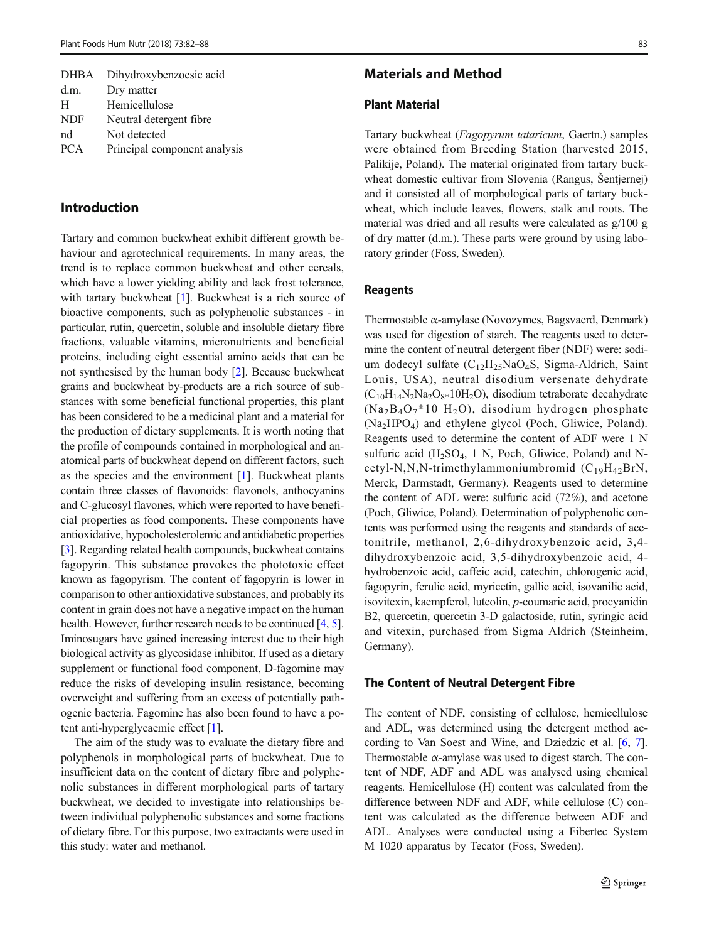| <b>DHBA</b> | Dihydroxybenzoesic acid      |
|-------------|------------------------------|
| d.m.        | Dry matter                   |
| H           | Hemicellulose                |
| <b>NDF</b>  | Neutral detergent fibre      |
| nd          | Not detected                 |
| <b>PCA</b>  | Principal component analysis |
|             |                              |

# Introduction

Tartary and common buckwheat exhibit different growth behaviour and agrotechnical requirements. In many areas, the trend is to replace common buckwheat and other cereals, which have a lower yielding ability and lack frost tolerance, with tartary buckwheat [\[1](#page-5-0)]. Buckwheat is a rich source of bioactive components, such as polyphenolic substances - in particular, rutin, quercetin, soluble and insoluble dietary fibre fractions, valuable vitamins, micronutrients and beneficial proteins, including eight essential amino acids that can be not synthesised by the human body [[2\]](#page-5-0). Because buckwheat grains and buckwheat by-products are a rich source of substances with some beneficial functional properties, this plant has been considered to be a medicinal plant and a material for the production of dietary supplements. It is worth noting that the profile of compounds contained in morphological and anatomical parts of buckwheat depend on different factors, such as the species and the environment [\[1](#page-5-0)]. Buckwheat plants contain three classes of flavonoids: flavonols, anthocyanins and C-glucosyl flavones, which were reported to have beneficial properties as food components. These components have antioxidative, hypocholesterolemic and antidiabetic properties [\[3](#page-5-0)]. Regarding related health compounds, buckwheat contains fagopyrin. This substance provokes the phototoxic effect known as fagopyrism. The content of fagopyrin is lower in comparison to other antioxidative substances, and probably its content in grain does not have a negative impact on the human health. However, further research needs to be continued [\[4](#page-5-0), [5\]](#page-5-0). Iminosugars have gained increasing interest due to their high biological activity as glycosidase inhibitor. If used as a dietary supplement or functional food component, D-fagomine may reduce the risks of developing insulin resistance, becoming overweight and suffering from an excess of potentially pathogenic bacteria. Fagomine has also been found to have a potent anti-hyperglycaemic effect [\[1](#page-5-0)].

The aim of the study was to evaluate the dietary fibre and polyphenols in morphological parts of buckwheat. Due to insufficient data on the content of dietary fibre and polyphenolic substances in different morphological parts of tartary buckwheat, we decided to investigate into relationships between individual polyphenolic substances and some fractions of dietary fibre. For this purpose, two extractants were used in this study: water and methanol.

## Materials and Method

# Plant Material

Tartary buckwheat (Fagopyrum tataricum, Gaertn.) samples were obtained from Breeding Station (harvested 2015, Palikije, Poland). The material originated from tartary buckwheat domestic cultivar from Slovenia (Rangus, Šentjernej) and it consisted all of morphological parts of tartary buckwheat, which include leaves, flowers, stalk and roots. The material was dried and all results were calculated as g/100 g of dry matter (d.m.). These parts were ground by using laboratory grinder (Foss, Sweden).

## Reagents

Thermostable α-amylase (Novozymes, Bagsvaerd, Denmark) was used for digestion of starch. The reagents used to determine the content of neutral detergent fiber (NDF) were: sodium dodecyl sulfate  $(C_{12}H_{25}NaO_4S,$  Sigma-Aldrich, Saint Louis, USA), neutral disodium versenate dehydrate  $(C_{10}H_{14}N_2Na_2O_{8*}10H_2O)$ , disodium tetraborate decahydrate  $(Na_2B_4O_7*10 H_2O)$ , disodium hydrogen phosphate  $(Na_2HPO_4)$  and ethylene glycol (Poch, Gliwice, Poland). Reagents used to determine the content of ADF were 1 N sulfuric acid  $(H_2SO_4, 1\ N,$  Poch, Gliwice, Poland) and Ncetyl-N,N,N-trimethylammoniumbromid  $(C_{19}H_{42}BrN,$ Merck, Darmstadt, Germany). Reagents used to determine the content of ADL were: sulfuric acid (72%), and acetone (Poch, Gliwice, Poland). Determination of polyphenolic contents was performed using the reagents and standards of acetonitrile, methanol, 2,6-dihydroxybenzoic acid, 3,4 dihydroxybenzoic acid, 3,5-dihydroxybenzoic acid, 4 hydrobenzoic acid, caffeic acid, catechin, chlorogenic acid, fagopyrin, ferulic acid, myricetin, gallic acid, isovanilic acid, isovitexin, kaempferol, luteolin, p-coumaric acid, procyanidin B2, quercetin, quercetin 3-D galactoside, rutin, syringic acid and vitexin, purchased from Sigma Aldrich (Steinheim, Germany).

#### The Content of Neutral Detergent Fibre

The content of NDF, consisting of cellulose, hemicellulose and ADL, was determined using the detergent method according to Van Soest and Wine, and Dziedzic et al. [[6](#page-5-0), [7\]](#page-5-0). Thermostable  $\alpha$ -amylase was used to digest starch. The content of NDF, ADF and ADL was analysed using chemical reagents. Hemicellulose (H) content was calculated from the difference between NDF and ADF, while cellulose (C) content was calculated as the difference between ADF and ADL. Analyses were conducted using a Fibertec System M 1020 apparatus by Tecator (Foss, Sweden).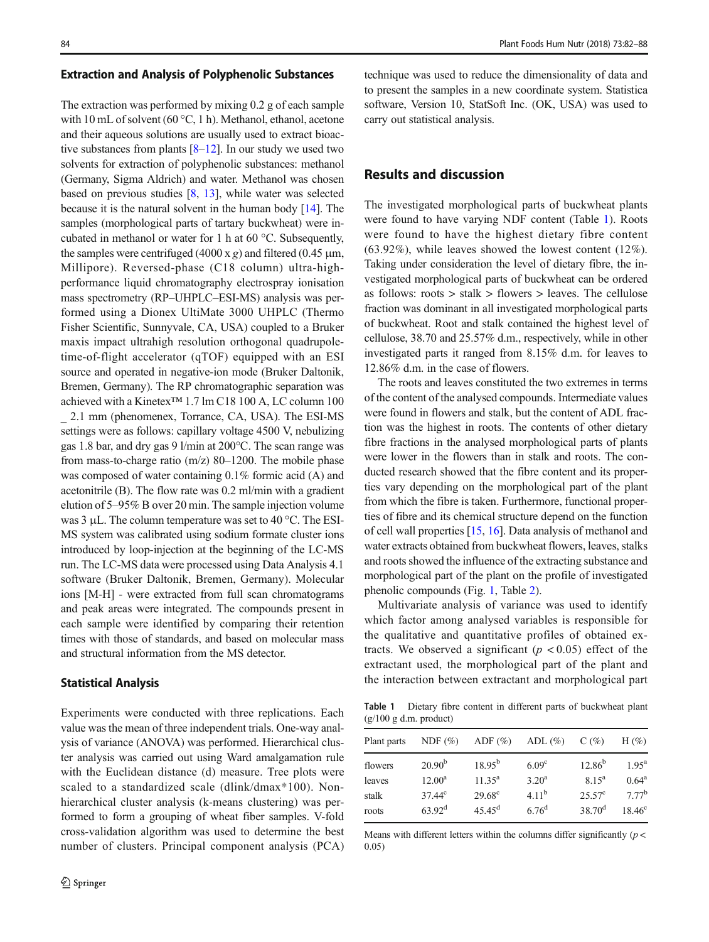#### Extraction and Analysis of Polyphenolic Substances

The extraction was performed by mixing 0.2 g of each sample with 10 mL of solvent (60 °C, 1 h). Methanol, ethanol, acetone and their aqueous solutions are usually used to extract bioactive substances from plants  $[8-12]$  $[8-12]$  $[8-12]$ . In our study we used two solvents for extraction of polyphenolic substances: methanol (Germany, Sigma Aldrich) and water. Methanol was chosen based on previous studies [\[8,](#page-5-0) [13\]](#page-5-0), while water was selected because it is the natural solvent in the human body [[14\]](#page-6-0). The samples (morphological parts of tartary buckwheat) were incubated in methanol or water for 1 h at 60 °C. Subsequently, the samples were centrifuged (4000 x g) and filtered (0.45  $\mu$ m, Millipore). Reversed-phase (C18 column) ultra-highperformance liquid chromatography electrospray ionisation mass spectrometry (RP–UHPLC–ESI-MS) analysis was performed using a Dionex UltiMate 3000 UHPLC (Thermo Fisher Scientific, Sunnyvale, CA, USA) coupled to a Bruker maxis impact ultrahigh resolution orthogonal quadrupoletime-of-flight accelerator (qTOF) equipped with an ESI source and operated in negative-ion mode (Bruker Daltonik, Bremen, Germany). The RP chromatographic separation was achieved with a Kinetex™ 1.7 lm C18 100 A, LC column 100 \_ 2.1 mm (phenomenex, Torrance, CA, USA). The ESI-MS settings were as follows: capillary voltage 4500 V, nebulizing gas 1.8 bar, and dry gas 9 l/min at 200°C. The scan range was from mass-to-charge ratio  $(m/z)$  80–1200. The mobile phase was composed of water containing 0.1% formic acid (A) and acetonitrile (B). The flow rate was 0.2 ml/min with a gradient elution of 5–95% B over 20 min. The sample injection volume was 3 μL. The column temperature was set to 40 °C. The ESI-MS system was calibrated using sodium formate cluster ions introduced by loop-injection at the beginning of the LC-MS run. The LC-MS data were processed using Data Analysis 4.1 software (Bruker Daltonik, Bremen, Germany). Molecular ions [M-H] - were extracted from full scan chromatograms

and peak areas were integrated. The compounds present in each sample were identified by comparing their retention times with those of standards, and based on molecular mass and structural information from the MS detector.

## Statistical Analysis

Experiments were conducted with three replications. Each value was the mean of three independent trials. One-way analysis of variance (ANOVA) was performed. Hierarchical cluster analysis was carried out using Ward amalgamation rule with the Euclidean distance (d) measure. Tree plots were scaled to a standardized scale (dlink/dmax\*100). Nonhierarchical cluster analysis (k-means clustering) was performed to form a grouping of wheat fiber samples. V-fold cross-validation algorithm was used to determine the best number of clusters. Principal component analysis (PCA)

technique was used to reduce the dimensionality of data and to present the samples in a new coordinate system. Statistica software, Version 10, StatSoft Inc. (OK, USA) was used to carry out statistical analysis.

## Results and discussion

The investigated morphological parts of buckwheat plants were found to have varying NDF content (Table 1). Roots were found to have the highest dietary fibre content (63.92%), while leaves showed the lowest content (12%). Taking under consideration the level of dietary fibre, the investigated morphological parts of buckwheat can be ordered as follows:  $roots$  > stalk > flowers > leaves. The cellulose fraction was dominant in all investigated morphological parts of buckwheat. Root and stalk contained the highest level of cellulose, 38.70 and 25.57% d.m., respectively, while in other investigated parts it ranged from 8.15% d.m. for leaves to 12.86% d.m. in the case of flowers.

The roots and leaves constituted the two extremes in terms of the content of the analysed compounds. Intermediate values were found in flowers and stalk, but the content of ADL fraction was the highest in roots. The contents of other dietary fibre fractions in the analysed morphological parts of plants were lower in the flowers than in stalk and roots. The conducted research showed that the fibre content and its properties vary depending on the morphological part of the plant from which the fibre is taken. Furthermore, functional properties of fibre and its chemical structure depend on the function of cell wall properties [\[15](#page-6-0), [16\]](#page-6-0). Data analysis of methanol and water extracts obtained from buckwheat flowers, leaves, stalks and roots showed the influence of the extracting substance and morphological part of the plant on the profile of investigated phenolic compounds (Fig. [1,](#page-3-0) Table [2\)](#page-3-0).

Multivariate analysis of variance was used to identify which factor among analysed variables is responsible for the qualitative and quantitative profiles of obtained extracts. We observed a significant ( $p < 0.05$ ) effect of the extractant used, the morphological part of the plant and the interaction between extractant and morphological part

Table 1 Dietary fibre content in different parts of buckwheat plant (g/100 g d.m. product)

| Plant parts | NDF $(\%)$      | ADF $(\% )$     | ADL $(\% )$       | $C(\%)$         | H $(\%)$        |  |
|-------------|-----------------|-----------------|-------------------|-----------------|-----------------|--|
| flowers     | $20.90^{b}$     | $18.95^{b}$     | 6.09 <sup>c</sup> | $12.86^{b}$     | $1.95^{\rm a}$  |  |
| leaves      | $12.00^{\rm a}$ | $11.35^{\rm a}$ | $3.20^{\rm a}$    | $8.15^{\rm a}$  | $0.64^{\rm a}$  |  |
| stalk       | $37.44^{\circ}$ | $29.68^{\circ}$ | $4.11^{b}$        | $25.57^{\circ}$ | $7.77^{b}$      |  |
| roots       | $63.92^{\rm d}$ | $45.45^{\rm d}$ | $6.76^{\rm d}$    | $38.70^{\rm d}$ | $18.46^{\circ}$ |  |

Means with different letters within the columns differ significantly  $(p <$ 0.05)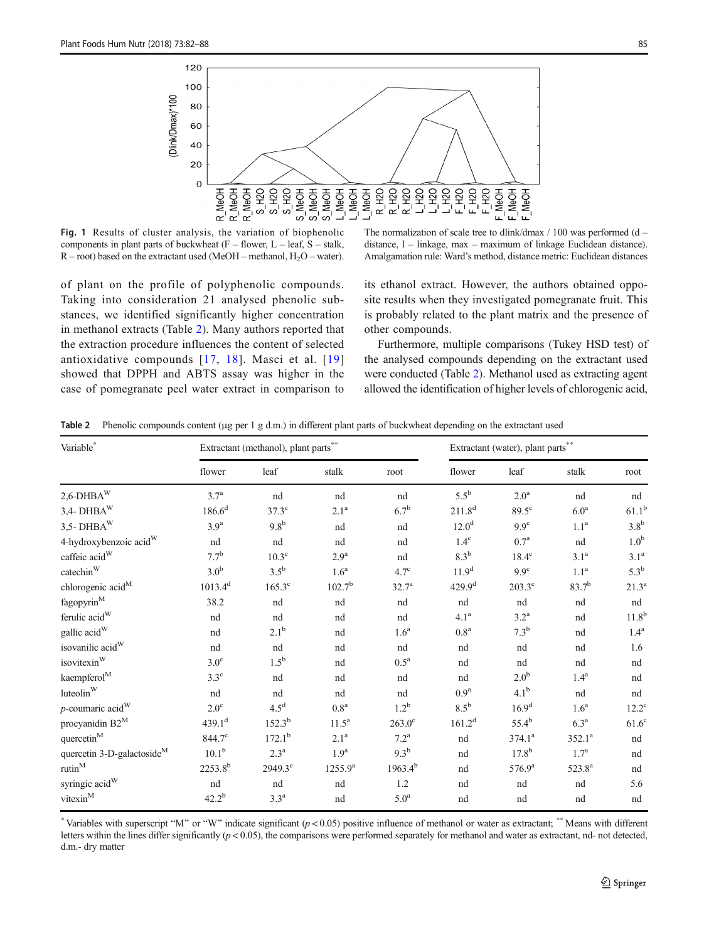<span id="page-3-0"></span>

Fig. 1 Results of cluster analysis, the variation of biophenolic components in plant parts of buckwheat  $(F -$  flower,  $L -$  leaf,  $S -$  stalk,  $R$  – root) based on the extractant used (MeOH – methanol, H<sub>2</sub>O – water).

of plant on the profile of polyphenolic compounds. Taking into consideration 21 analysed phenolic substances, we identified significantly higher concentration in methanol extracts (Table 2). Many authors reported that the extraction procedure influences the content of selected antioxidative compounds [[17,](#page-6-0) [18\]](#page-6-0). Masci et al. [[19\]](#page-6-0) showed that DPPH and ABTS assay was higher in the case of pomegranate peel water extract in comparison to

The normalization of scale tree to dlink/dmax  $/ 100$  was performed (d – distance, l – linkage, max – maximum of linkage Euclidean distance). Amalgamation rule: Ward's method, distance metric: Euclidean distances

its ethanol extract. However, the authors obtained opposite results when they investigated pomegranate fruit. This is probably related to the plant matrix and the presence of other compounds.

Furthermore, multiple comparisons (Tukey HSD test) of the analysed compounds depending on the extractant used were conducted (Table 2). Methanol used as extracting agent allowed the identification of higher levels of chlorogenic acid,

Table 2 Phenolic compounds content (μg per 1 g d.m.) in different plant parts of buckwheat depending on the extractant used

| Variable*                                 | Extractant (methanol), plant parts <sup>*</sup> |                    |                    |                    | Extractant (water), plant parts |                    |                    |                    |
|-------------------------------------------|-------------------------------------------------|--------------------|--------------------|--------------------|---------------------------------|--------------------|--------------------|--------------------|
|                                           | flower                                          | leaf               | stalk              | root               | flower                          | leaf               | stalk              | root               |
| $2{,}6$ -DHBA $\rm{^W}$                   | 3.7 <sup>a</sup>                                | nd                 | nd                 | nd                 | $5.5^{\rm b}$                   | 2.0 <sup>a</sup>   | nd                 | nd                 |
| $3,4$ - DHBA $\rm{W}$                     | $186.6^d$                                       | $37.3^{\circ}$     | 2.1 <sup>a</sup>   | 6.7 <sup>b</sup>   | $211.8^{d}$                     | $89.5^{\circ}$     | 6.0 <sup>a</sup>   | $61.1^{b}$         |
| $3,5$ -DHBA $\rm{W}$                      | 3.9 <sup>a</sup>                                | 9.8 <sup>b</sup>   | nd                 | nd                 | 12.0 <sup>d</sup>               | 9.9 <sup>c</sup>   | 1.1 <sup>a</sup>   | 3.8 <sup>b</sup>   |
| 4-hydroxybenzoic acid <sup>W</sup>        | nd                                              | nd                 | nd                 | nd                 | $1.4^\mathrm{c}$                | $0.7^{\rm a}$      | nd                 | 1.0 <sup>b</sup>   |
| caffeic $\text{acid}^W$                   | 7.7 <sup>b</sup>                                | $10.3^\circ$       | $2.9^{\mathrm{a}}$ | nd                 | $8.3^{\rm b}$                   | $18.4^{\circ}$     | 3.1 <sup>a</sup>   | 3.1 <sup>a</sup>   |
| $\mathrm{catechin}^{\mathrm{W}}$          | 3.0 <sup>b</sup>                                | $3.5^{\rm b}$      | 1.6 <sup>a</sup>   | $4.7^{\circ}$      | 11.9 <sup>d</sup>               | 9.9 <sup>c</sup>   | 1.1 <sup>a</sup>   | $5.3^{\rm b}$      |
| chlorogenic acid <sup>M</sup>             | $1013.4^{d}$                                    | $165.3^{\circ}$    | $102.7^{b}$        | 32.7 <sup>a</sup>  | 429.9 <sup>d</sup>              | $203.3^{\circ}$    | $83.7^{b}$         | $21.3^a$           |
| $\mbox{fagopyrin}^{\mbox{\scriptsize M}}$ | 38.2                                            | nd                 | nd                 | nd                 | nd                              | nd                 | nd                 | nd                 |
| ferulic acid <sup>W</sup>                 | nd                                              | nd                 | nd                 | nd                 | 4.1 <sup>a</sup>                | $3.2^{\mathrm{a}}$ | nd                 | $11.8^{b}$         |
| gallic acid <sup>W</sup>                  | nd                                              | 2.1 <sup>b</sup>   | nd                 | 1.6 <sup>a</sup>   | 0.8 <sup>a</sup>                | 7.3 <sup>b</sup>   | nd                 | $1.4^{\mathrm{a}}$ |
| isovanilic acid <sup>W</sup>              | nd                                              | nd                 | nd                 | nd                 | nd                              | nd                 | nd                 | 1.6                |
| isovitexin <sup>W</sup>                   | $3.0^\circ$                                     | $1.5^{\rm b}$      | nd                 | $0.5^{\rm a}$      | nd                              | nd                 | nd                 | nd                 |
| kaempferol <sup>M</sup>                   | $3.3^\circ$                                     | nd                 | nd                 | nd                 | nd                              | 2.0 <sup>b</sup>   | $1.4^{\mathrm{a}}$ | nd                 |
| luteolin <sup>W</sup>                     | nd                                              | nd                 | nd                 | nd                 | 0.9 <sup>a</sup>                | 4.1 <sup>b</sup>   | nd                 | nd                 |
| $p$ -coumaric acid <sup>W</sup>           | $2.0^{\circ}$                                   | 4.5 <sup>d</sup>   | $0.8^{\rm a}$      | $1.2^b$            | $8.5^{\rm b}$                   | 16.9 <sup>d</sup>  | 1.6 <sup>a</sup>   | $12.2^{\circ}$     |
| procyanidin B2 <sup>M</sup>               | 439.1 <sup>d</sup>                              | $152.3^{b}$        | $11.5^{\rm a}$     | $263.0^\circ$      | 161.2 <sup>d</sup>              | $55.4^{b}$         | $6.3^{\mathrm{a}}$ | $61.6^{\circ}$     |
| ${\rm quercetin}^{\rm M}$                 | 844.7°                                          | $172.1^{\rm b}$    | 2.1 <sup>a</sup>   | $7.2^{\mathrm{a}}$ | nd                              | $374.1^a$          | $352.1^a$          | nd                 |
| quercetin 3-D-galactoside <sup>M</sup>    | $10.1^{b}$                                      | $2.3^{\mathrm{a}}$ | 1.9 <sup>a</sup>   | 9.3 <sup>b</sup>   | nd                              | $17.8^{b}$         | 1.7 <sup>a</sup>   | nd                 |
| rutin <sup>M</sup>                        | $2253.8^{b}$                                    | $2949.3^{\circ}$   | $1255.9^{a}$       | $1963.4^{b}$       | nd                              | $576.9^{\rm a}$    | 523.8 <sup>a</sup> | nd                 |
| syringic acid <sup>W</sup>                | nd                                              | nd                 | nd                 | 1.2                | nd                              | nd                 | nd                 | 5.6                |
| $vitexin^M$                               | $42.2^{b}$                                      | $3.3^{\mathrm{a}}$ | nd                 | $5.0^{\rm a}$      | nd                              | nd                 | nd                 | nd                 |

\* Variables with superscript "M" or "W" indicate significant  $(p < 0.05)$  positive influence of methanol or water as extractant; \*\*Means with different letters within the lines differ significantly  $(p < 0.05)$ , the comparisons were performed separately for methanol and water as extractant, nd- not detected, d.m.- dry matter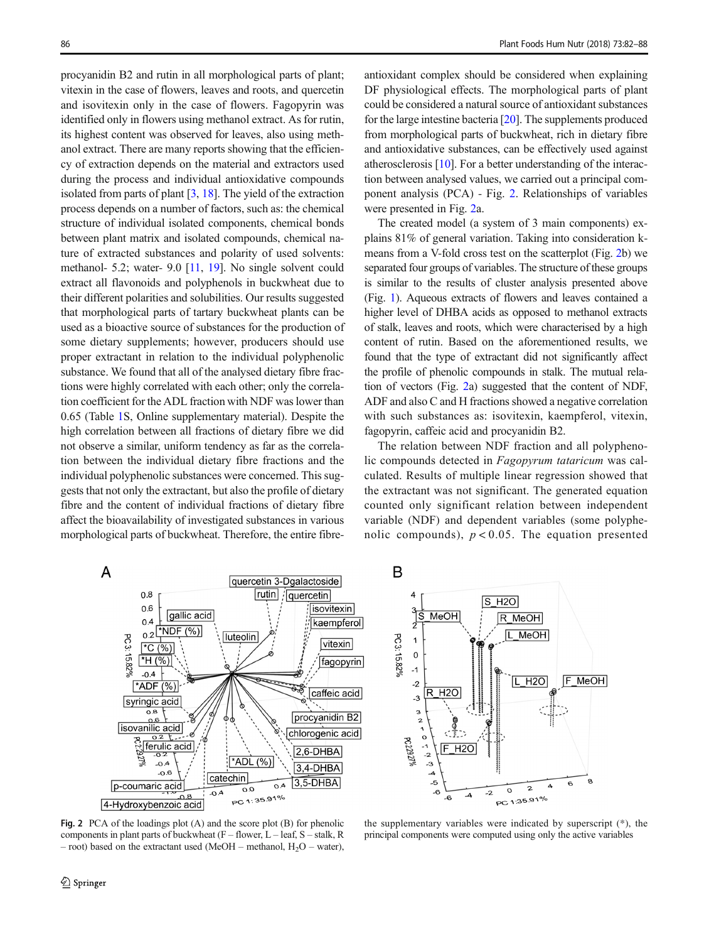procyanidin B2 and rutin in all morphological parts of plant; vitexin in the case of flowers, leaves and roots, and quercetin and isovitexin only in the case of flowers. Fagopyrin was identified only in flowers using methanol extract. As for rutin, its highest content was observed for leaves, also using methanol extract. There are many reports showing that the efficiency of extraction depends on the material and extractors used during the process and individual antioxidative compounds isolated from parts of plant  $[3, 18]$  $[3, 18]$  $[3, 18]$  $[3, 18]$ . The yield of the extraction process depends on a number of factors, such as: the chemical structure of individual isolated components, chemical bonds between plant matrix and isolated compounds, chemical nature of extracted substances and polarity of used solvents: methanol- 5.2; water- 9.0 [\[11,](#page-5-0) [19](#page-6-0)]. No single solvent could extract all flavonoids and polyphenols in buckwheat due to their different polarities and solubilities. Our results suggested that morphological parts of tartary buckwheat plants can be used as a bioactive source of substances for the production of some dietary supplements; however, producers should use proper extractant in relation to the individual polyphenolic substance. We found that all of the analysed dietary fibre fractions were highly correlated with each other; only the correlation coefficient for the ADL fraction with NDF was lower than 0.65 (Table 1S, Online supplementary material). Despite the high correlation between all fractions of dietary fibre we did not observe a similar, uniform tendency as far as the correlation between the individual dietary fibre fractions and the individual polyphenolic substances were concerned. This suggests that not only the extractant, but also the profile of dietary fibre and the content of individual fractions of dietary fibre affect the bioavailability of investigated substances in various morphological parts of buckwheat. Therefore, the entire fibreantioxidant complex should be considered when explaining DF physiological effects. The morphological parts of plant could be considered a natural source of antioxidant substances for the large intestine bacteria [[20](#page-6-0)]. The supplements produced from morphological parts of buckwheat, rich in dietary fibre and antioxidative substances, can be effectively used against atherosclerosis [[10](#page-5-0)]. For a better understanding of the interaction between analysed values, we carried out a principal component analysis (PCA) - Fig. 2. Relationships of variables were presented in Fig. 2a.

The created model (a system of 3 main components) explains 81% of general variation. Taking into consideration kmeans from a V-fold cross test on the scatterplot (Fig. 2b) we separated four groups of variables. The structure of these groups is similar to the results of cluster analysis presented above (Fig. [1\)](#page-3-0). Aqueous extracts of flowers and leaves contained a higher level of DHBA acids as opposed to methanol extracts of stalk, leaves and roots, which were characterised by a high content of rutin. Based on the aforementioned results, we found that the type of extractant did not significantly affect the profile of phenolic compounds in stalk. The mutual relation of vectors (Fig. 2a) suggested that the content of NDF, ADF and also C and H fractions showed a negative correlation with such substances as: isovitexin, kaempferol, vitexin, fagopyrin, caffeic acid and procyanidin B2.

The relation between NDF fraction and all polyphenolic compounds detected in Fagopyrum tataricum was calculated. Results of multiple linear regression showed that the extractant was not significant. The generated equation counted only significant relation between independent variable (NDF) and dependent variables (some polyphenolic compounds),  $p < 0.05$ . The equation presented



B



Fig. 2 PCA of the loadings plot (A) and the score plot (B) for phenolic components in plant parts of buckwheat  $(F -$  flower,  $L -$  leaf,  $S -$  stalk, R – root) based on the extractant used (MeOH – methanol,  $H_2O$  – water),

the supplementary variables were indicated by superscript (\*), the principal components were computed using only the active variables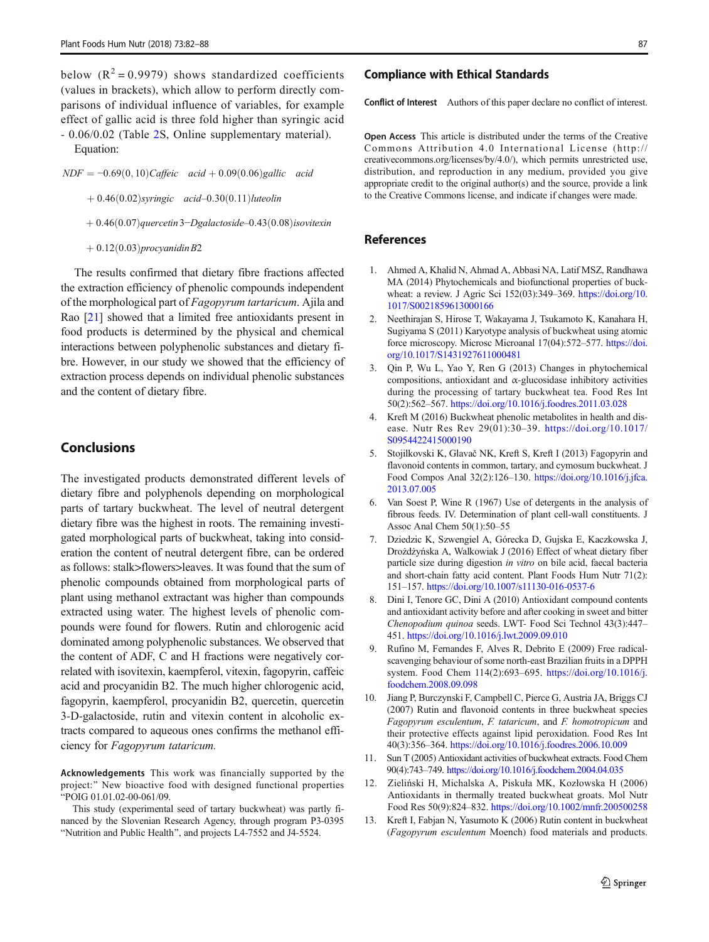<span id="page-5-0"></span>below  $(R^2 = 0.9979)$  shows standardized coefficients (values in brackets), which allow to perform directly comparisons of individual influence of variables, for example effect of gallic acid is three fold higher than syringic acid - 0.06/0.02 (Table 2S, Online supplementary material).

Equation:

 $NDF = -0.69(0, 10) \text{Caffeic } \text{acid} + 0.09(0.06) \text{gallic } \text{acid}$ 

 $+0.46(0.02)$ syringic acid-0.30(0.11)luteolin

 $+0.46(0.07)$ quercetin3−Dgalactoside–0.43 $(0.08)$ isovitexin

 $+0.12(0.03)$ procyanidin B2

The results confirmed that dietary fibre fractions affected the extraction efficiency of phenolic compounds independent of the morphological part of Fagopyrum tartaricum. Ajila and Rao [[21](#page-6-0)] showed that a limited free antioxidants present in food products is determined by the physical and chemical interactions between polyphenolic substances and dietary fibre. However, in our study we showed that the efficiency of extraction process depends on individual phenolic substances and the content of dietary fibre.

## Conclusions

The investigated products demonstrated different levels of dietary fibre and polyphenols depending on morphological parts of tartary buckwheat. The level of neutral detergent dietary fibre was the highest in roots. The remaining investigated morphological parts of buckwheat, taking into consideration the content of neutral detergent fibre, can be ordered as follows: stalk>flowers>leaves. It was found that the sum of phenolic compounds obtained from morphological parts of plant using methanol extractant was higher than compounds extracted using water. The highest levels of phenolic compounds were found for flowers. Rutin and chlorogenic acid dominated among polyphenolic substances. We observed that the content of ADF, C and H fractions were negatively correlated with isovitexin, kaempferol, vitexin, fagopyrin, caffeic acid and procyanidin B2. The much higher chlorogenic acid, fagopyrin, kaempferol, procyanidin B2, quercetin, quercetin 3-D-galactoside, rutin and vitexin content in alcoholic extracts compared to aqueous ones confirms the methanol efficiency for Fagopyrum tataricum.

Acknowledgements This work was financially supported by the project:" New bioactive food with designed functional properties BPOIG 01.01.02-00-061/09.

This study (experimental seed of tartary buckwheat) was partly financed by the Slovenian Research Agency, through program P3-0395 "Nutrition and Public Health", and projects L4-7552 and J4-5524.

## Compliance with Ethical Standards

Conflict of Interest Authors of this paper declare no conflict of interest.

Open Access This article is distributed under the terms of the Creative Commons Attribution 4.0 International License (http:// creativecommons.org/licenses/by/4.0/), which permits unrestricted use, distribution, and reproduction in any medium, provided you give appropriate credit to the original author(s) and the source, provide a link to the Creative Commons license, and indicate if changes were made.

# References

- 1. Ahmed A, Khalid N, Ahmad A, Abbasi NA, Latif MSZ, Randhawa MA (2014) Phytochemicals and biofunctional properties of buckwheat: a review. J Agric Sci 152(03):349–369. [https://doi.org/10.](https://doi.org/10.1017/S0021859613000166) [1017/S0021859613000166](https://doi.org/10.1017/S0021859613000166)
- 2. Neethirajan S, Hirose T, Wakayama J, Tsukamoto K, Kanahara H, Sugiyama S (2011) Karyotype analysis of buckwheat using atomic force microscopy. Microsc Microanal 17(04):572–577. [https://doi.](https://doi.org/10.1017/S1431927611000481) [org/10.1017/S1431927611000481](https://doi.org/10.1017/S1431927611000481)
- 3. Qin P, Wu L, Yao Y, Ren G (2013) Changes in phytochemical compositions, antioxidant and  $\alpha$ -glucosidase inhibitory activities during the processing of tartary buckwheat tea. Food Res Int 50(2):562–567. <https://doi.org/10.1016/j.foodres.2011.03.028>
- 4. Kreft M (2016) Buckwheat phenolic metabolites in health and disease. Nutr Res Rev 29(01):30–39. [https://doi.org/10.1017/](https://doi.org/10.1017/S0954422415000190) [S0954422415000190](https://doi.org/10.1017/S0954422415000190)
- 5. Stojilkovski K, Glavač NK, Kreft S, Kreft I (2013) Fagopyrin and flavonoid contents in common, tartary, and cymosum buckwheat. J Food Compos Anal 32(2):126–130. [https://doi.org/10.1016/j.jfca.](https://doi.org/10.1016/j.jfca.2013.07.005) [2013.07.005](https://doi.org/10.1016/j.jfca.2013.07.005)
- 6. Van Soest P, Wine R (1967) Use of detergents in the analysis of fibrous feeds. IV. Determination of plant cell-wall constituents. J Assoc Anal Chem 50(1):50–55
- 7. Dziedzic K, Szwengiel A, Górecka D, Gujska E, Kaczkowska J, Drożdżyńska A, Walkowiak J (2016) Effect of wheat dietary fiber particle size during digestion in vitro on bile acid, faecal bacteria and short-chain fatty acid content. Plant Foods Hum Nutr 71(2): 151–157. <https://doi.org/10.1007/s11130-016-0537-6>
- 8. Dini I, Tenore GC, Dini A (2010) Antioxidant compound contents and antioxidant activity before and after cooking in sweet and bitter Chenopodium quinoa seeds. LWT- Food Sci Technol 43(3):447– 451. <https://doi.org/10.1016/j.lwt.2009.09.010>
- 9. Rufino M, Fernandes F, Alves R, Debrito E (2009) Free radicalscavenging behaviour of some north-east Brazilian fruits in a DPPH system. Food Chem 114(2):693–695. [https://doi.org/10.1016/j.](https://doi.org/10.1016/j.foodchem.2008.09.098) [foodchem.2008.09.098](https://doi.org/10.1016/j.foodchem.2008.09.098)
- 10. Jiang P, Burczynski F, Campbell C, Pierce G, Austria JA, Briggs CJ (2007) Rutin and flavonoid contents in three buckwheat species Fagopyrum esculentum, F. tataricum, and F. homotropicum and their protective effects against lipid peroxidation. Food Res Int 40(3):356–364. <https://doi.org/10.1016/j.foodres.2006.10.009>
- 11. Sun T (2005) Antioxidant activities of buckwheat extracts. Food Chem 90(4):743–749. <https://doi.org/10.1016/j.foodchem.2004.04.035>
- 12. Zieliński H, Michalska A, Piskuła MK, Kozłowska H (2006) Antioxidants in thermally treated buckwheat groats. Mol Nutr Food Res 50(9):824–832. <https://doi.org/10.1002/mnfr.200500258>
- 13. Kreft I, Fabjan N, Yasumoto K (2006) Rutin content in buckwheat (Fagopyrum esculentum Moench) food materials and products.